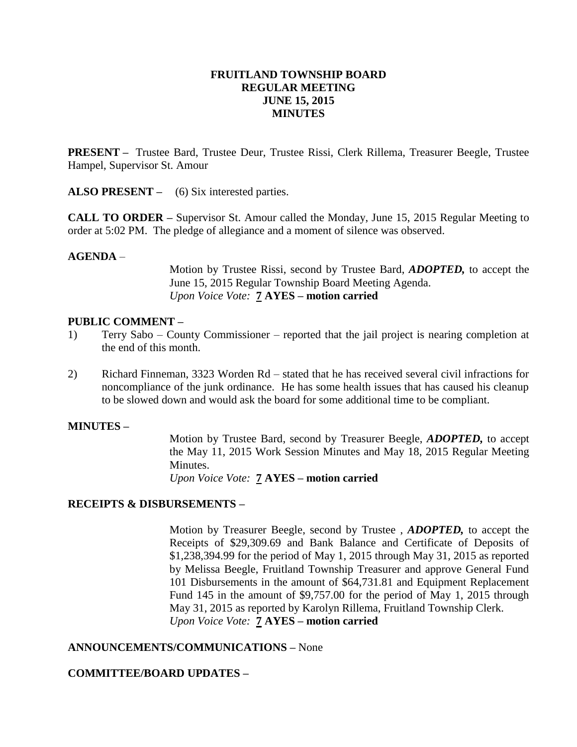#### **FRUITLAND TOWNSHIP BOARD REGULAR MEETING JUNE 15, 2015 MINUTES**

**PRESENT –** Trustee Bard, Trustee Deur, Trustee Rissi, Clerk Rillema, Treasurer Beegle, Trustee Hampel, Supervisor St. Amour

ALSO PRESENT – (6) Six interested parties.

**CALL TO ORDER –** Supervisor St. Amour called the Monday, June 15, 2015 Regular Meeting to order at 5:02 PM. The pledge of allegiance and a moment of silence was observed.

#### **AGENDA** –

Motion by Trustee Rissi, second by Trustee Bard, *ADOPTED,* to accept the June 15, 2015 Regular Township Board Meeting Agenda. *Upon Voice Vote:* **7 AYES – motion carried**

#### **PUBLIC COMMENT –**

- 1) Terry Sabo County Commissioner reported that the jail project is nearing completion at the end of this month.
- 2) Richard Finneman, 3323 Worden Rd stated that he has received several civil infractions for noncompliance of the junk ordinance. He has some health issues that has caused his cleanup to be slowed down and would ask the board for some additional time to be compliant.

#### **MINUTES –**

Motion by Trustee Bard, second by Treasurer Beegle, *ADOPTED,* to accept the May 11, 2015 Work Session Minutes and May 18, 2015 Regular Meeting Minutes.

*Upon Voice Vote:* **7 AYES – motion carried**

# **RECEIPTS & DISBURSEMENTS –**

Motion by Treasurer Beegle, second by Trustee , *ADOPTED,* to accept the Receipts of \$29,309.69 and Bank Balance and Certificate of Deposits of \$1,238,394.99 for the period of May 1, 2015 through May 31, 2015 as reported by Melissa Beegle, Fruitland Township Treasurer and approve General Fund 101 Disbursements in the amount of \$64,731.81 and Equipment Replacement Fund 145 in the amount of \$9,757.00 for the period of May 1, 2015 through May 31, 2015 as reported by Karolyn Rillema, Fruitland Township Clerk. *Upon Voice Vote:* **7 AYES – motion carried**

# **ANNOUNCEMENTS/COMMUNICATIONS –** None

# **COMMITTEE/BOARD UPDATES –**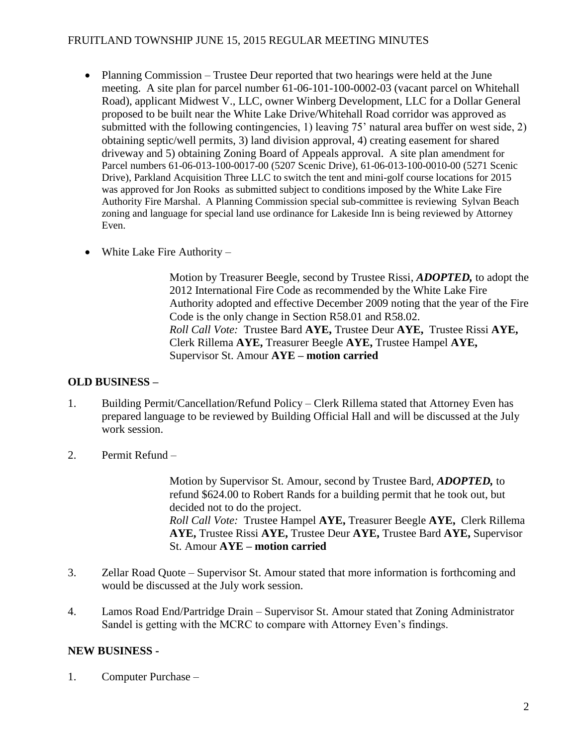# FRUITLAND TOWNSHIP JUNE 15, 2015 REGULAR MEETING MINUTES

- Planning Commission Trustee Deur reported that two hearings were held at the June meeting. A site plan for parcel number 61-06-101-100-0002-03 (vacant parcel on Whitehall Road), applicant Midwest V., LLC, owner Winberg Development, LLC for a Dollar General proposed to be built near the White Lake Drive/Whitehall Road corridor was approved as submitted with the following contingencies, 1) leaving 75' natural area buffer on west side, 2) obtaining septic/well permits, 3) land division approval, 4) creating easement for shared driveway and 5) obtaining Zoning Board of Appeals approval. A site plan amendment for Parcel numbers 61-06-013-100-0017-00 (5207 Scenic Drive), 61-06-013-100-0010-00 (5271 Scenic Drive), Parkland Acquisition Three LLC to switch the tent and mini-golf course locations for 2015 was approved for Jon Rooks as submitted subject to conditions imposed by the White Lake Fire Authority Fire Marshal. A Planning Commission special sub-committee is reviewing Sylvan Beach zoning and language for special land use ordinance for Lakeside Inn is being reviewed by Attorney Even.
- White Lake Fire Authority –

Motion by Treasurer Beegle, second by Trustee Rissi, *ADOPTED,* to adopt the 2012 International Fire Code as recommended by the White Lake Fire Authority adopted and effective December 2009 noting that the year of the Fire Code is the only change in Section R58.01 and R58.02. *Roll Call Vote:* Trustee Bard **AYE,** Trustee Deur **AYE,** Trustee Rissi **AYE,**  Clerk Rillema **AYE,** Treasurer Beegle **AYE,** Trustee Hampel **AYE,**  Supervisor St. Amour **AYE – motion carried**

# **OLD BUSINESS –**

- 1. Building Permit/Cancellation/Refund Policy Clerk Rillema stated that Attorney Even has prepared language to be reviewed by Building Official Hall and will be discussed at the July work session.
- 2. Permit Refund –

Motion by Supervisor St. Amour, second by Trustee Bard, *ADOPTED,* to refund \$624.00 to Robert Rands for a building permit that he took out, but decided not to do the project. *Roll Call Vote:* Trustee Hampel **AYE,** Treasurer Beegle **AYE,** Clerk Rillema **AYE,** Trustee Rissi **AYE,** Trustee Deur **AYE,** Trustee Bard **AYE,** Supervisor St. Amour **AYE – motion carried**

- 3. Zellar Road Quote Supervisor St. Amour stated that more information is forthcoming and would be discussed at the July work session.
- 4. Lamos Road End/Partridge Drain Supervisor St. Amour stated that Zoning Administrator Sandel is getting with the MCRC to compare with Attorney Even's findings.

# **NEW BUSINESS -**

1. Computer Purchase –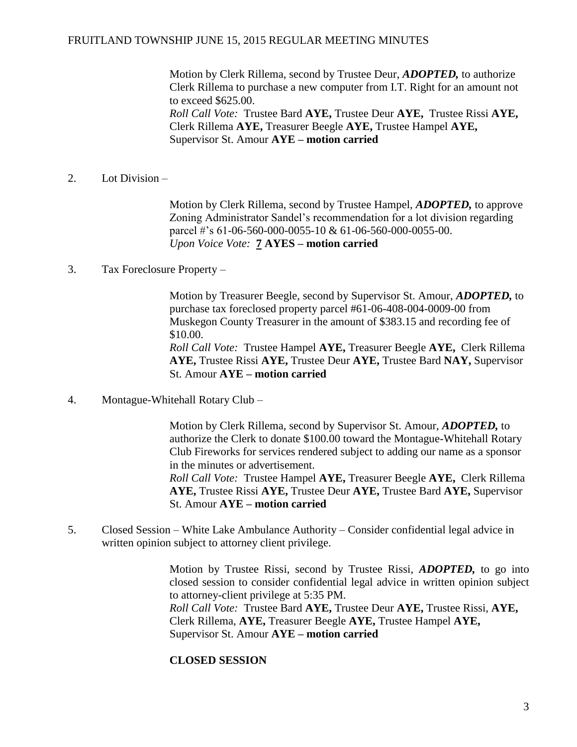Motion by Clerk Rillema, second by Trustee Deur, *ADOPTED,* to authorize Clerk Rillema to purchase a new computer from I.T. Right for an amount not to exceed \$625.00. *Roll Call Vote:* Trustee Bard **AYE,** Trustee Deur **AYE,** Trustee Rissi **AYE,**  Clerk Rillema **AYE,** Treasurer Beegle **AYE,** Trustee Hampel **AYE,**  Supervisor St. Amour **AYE – motion carried**

2. Lot Division –

Motion by Clerk Rillema, second by Trustee Hampel, *ADOPTED,* to approve Zoning Administrator Sandel's recommendation for a lot division regarding parcel #'s 61-06-560-000-0055-10 & 61-06-560-000-0055-00. *Upon Voice Vote:* **7 AYES – motion carried**

3. Tax Foreclosure Property –

Motion by Treasurer Beegle, second by Supervisor St. Amour, *ADOPTED,* to purchase tax foreclosed property parcel #61-06-408-004-0009-00 from Muskegon County Treasurer in the amount of \$383.15 and recording fee of \$10.00. *Roll Call Vote:* Trustee Hampel **AYE,** Treasurer Beegle **AYE,** Clerk Rillema **AYE,** Trustee Rissi **AYE,** Trustee Deur **AYE,** Trustee Bard **NAY,** Supervisor St. Amour **AYE – motion carried**

4. Montague-Whitehall Rotary Club –

Motion by Clerk Rillema, second by Supervisor St. Amour, *ADOPTED,* to authorize the Clerk to donate \$100.00 toward the Montague-Whitehall Rotary Club Fireworks for services rendered subject to adding our name as a sponsor in the minutes or advertisement. *Roll Call Vote:* Trustee Hampel **AYE,** Treasurer Beegle **AYE,** Clerk Rillema **AYE,** Trustee Rissi **AYE,** Trustee Deur **AYE,** Trustee Bard **AYE,** Supervisor St. Amour **AYE – motion carried**

5. Closed Session – White Lake Ambulance Authority – Consider confidential legal advice in written opinion subject to attorney client privilege.

> Motion by Trustee Rissi, second by Trustee Rissi, *ADOPTED,* to go into closed session to consider confidential legal advice in written opinion subject to attorney-client privilege at 5:35 PM. *Roll Call Vote:* Trustee Bard **AYE,** Trustee Deur **AYE,** Trustee Rissi, **AYE,**  Clerk Rillema, **AYE,** Treasurer Beegle **AYE,** Trustee Hampel **AYE,**  Supervisor St. Amour **AYE – motion carried**

# **CLOSED SESSION**